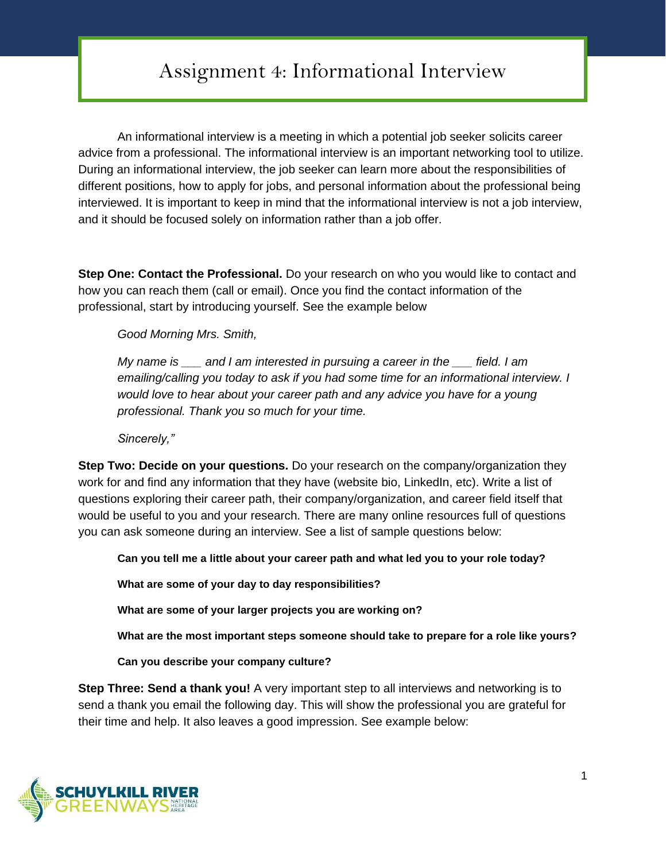## Assignment 4: Informational Interview

An informational interview is a meeting in which a potential job seeker solicits career advice from a professional. The informational interview is an important networking tool to utilize. During an informational interview, the job seeker can learn more about the responsibilities of different positions, how to apply for jobs, and personal information about the professional being interviewed. It is important to keep in mind that the informational interview is not a job interview, and it should be focused solely on information rather than a job offer.

**Step One: Contact the Professional.** Do your research on who you would like to contact and how you can reach them (call or email). Once you find the contact information of the professional, start by introducing yourself. See the example below

*Good Morning Mrs. Smith,* 

*My name is \_\_\_ and I am interested in pursuing a career in the \_\_\_ field. I am emailing/calling you today to ask if you had some time for an informational interview. I would love to hear about your career path and any advice you have for a young professional. Thank you so much for your time.*

*Sincerely,"*

**Step Two: Decide on your questions.** Do your research on the company/organization they work for and find any information that they have (website bio, LinkedIn, etc). Write a list of questions exploring their career path, their company/organization, and career field itself that would be useful to you and your research. There are many online resources full of questions you can ask someone during an interview. See a list of sample questions below:

**Can you tell me a little about your career path and what led you to your role today?**

**What are some of your day to day responsibilities?**

**What are some of your larger projects you are working on?**

**What are the most important steps someone should take to prepare for a role like yours?**

**Can you describe your company culture?**

**Step Three: Send a thank you!** A very important step to all interviews and networking is to send a thank you email the following day. This will show the professional you are grateful for their time and help. It also leaves a good impression. See example below: